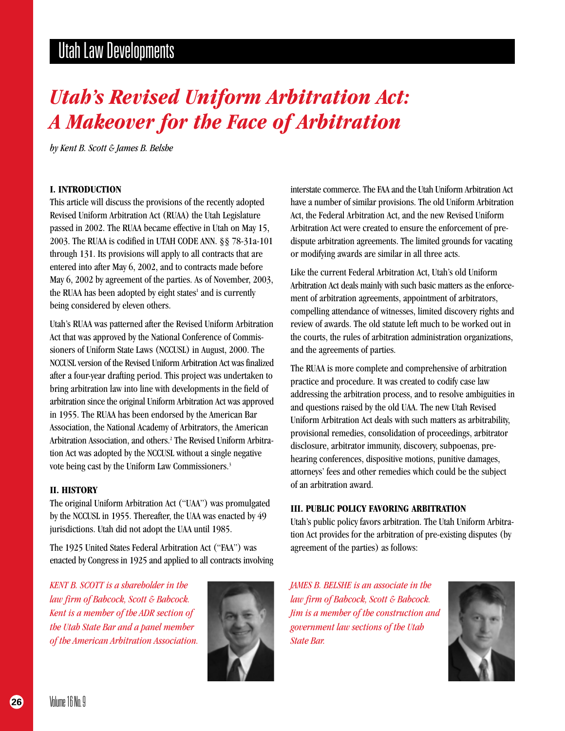# *Utah's Revised Uniform Arbitration Act: A Makeover for the Face of Arbitration*

*by Kent B. Scott & James B. Belshe*

## **I. INTRODUCTION**

This article will discuss the provisions of the recently adopted Revised Uniform Arbitration Act (RUAA) the Utah Legislature passed in 2002. The RUAA became effective in Utah on May 15, 2003. The RUAA is codified in UTAH CODE ANN. §§ 78-31a-101 through 131. Its provisions will apply to all contracts that are entered into after May 6, 2002, and to contracts made before May 6, 2002 by agreement of the parties. As of November, 2003, the RUAA has been adopted by eight states<sup>1</sup> and is currently being considered by eleven others.

Utah's RUAA was patterned after the Revised Uniform Arbitration Act that was approved by the National Conference of Commissioners of Uniform State Laws (NCCUSL) in August, 2000. The NCCUSL version of the Revised Uniform Arbitration Act was finalized after a four-year drafting period. This project was undertaken to bring arbitration law into line with developments in the field of arbitration since the original Uniform Arbitration Act was approved in 1955. The RUAA has been endorsed by the American Bar Association, the National Academy of Arbitrators, the American Arbitration Association, and others.<sup>2</sup> The Revised Uniform Arbitration Act was adopted by the NCCUSL without a single negative vote being cast by the Uniform Law Commissioners.<sup>3</sup>

#### **II. HISTORY**

The original Uniform Arbitration Act ("UAA") was promulgated by the NCCUSL in 1955. Thereafter, the UAA was enacted by 49 jurisdictions. Utah did not adopt the UAA until 1985.

The 1925 United States Federal Arbitration Act ("FAA") was enacted by Congress in 1925 and applied to all contracts involving

*KENT B. SCOTT is a shareholder in the law firm of Babcock, Scott & Babcock. Kent is a member of the ADR section of the Utah State Bar and a panel member of the American Arbitration Association.*



interstate commerce. The FAA and the Utah Uniform Arbitration Act have a number of similar provisions. The old Uniform Arbitration Act, the Federal Arbitration Act, and the new Revised Uniform Arbitration Act were created to ensure the enforcement of predispute arbitration agreements. The limited grounds for vacating or modifying awards are similar in all three acts.

Like the current Federal Arbitration Act, Utah's old Uniform Arbitration Act deals mainly with such basic matters as the enforcement of arbitration agreements, appointment of arbitrators, compelling attendance of witnesses, limited discovery rights and review of awards. The old statute left much to be worked out in the courts, the rules of arbitration administration organizations, and the agreements of parties.

The RUAA is more complete and comprehensive of arbitration practice and procedure. It was created to codify case law addressing the arbitration process, and to resolve ambiguities in and questions raised by the old UAA. The new Utah Revised Uniform Arbitration Act deals with such matters as arbitrability, provisional remedies, consolidation of proceedings, arbitrator disclosure, arbitrator immunity, discovery, subpoenas, prehearing conferences, dispositive motions, punitive damages, attorneys' fees and other remedies which could be the subject of an arbitration award.

## **III. PUBLIC POLICY FAVORING ARBITRATION**

Utah's public policy favors arbitration. The Utah Uniform Arbitration Act provides for the arbitration of pre-existing disputes (by agreement of the parties) as follows:

*JAMES B. BELSHE is an associate in the law firm of Babcock, Scott & Babcock. Jim is a member of the construction and government law sections of the Utah State Bar.*

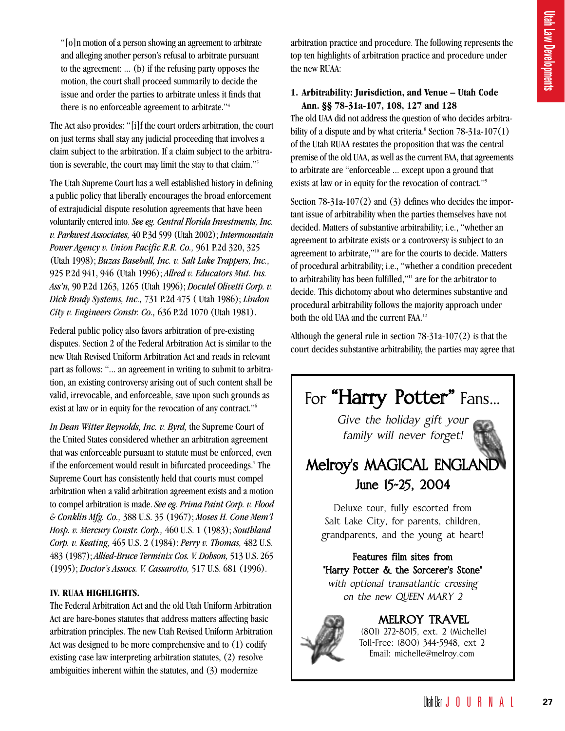"[o]n motion of a person showing an agreement to arbitrate and alleging another person's refusal to arbitrate pursuant to the agreement: ... (b) if the refusing party opposes the motion, the court shall proceed summarily to decide the issue and order the parties to arbitrate unless it finds that there is no enforceable agreement to arbitrate."4

The Act also provides: "[i]f the court orders arbitration, the court on just terms shall stay any judicial proceeding that involves a claim subject to the arbitration. If a claim subject to the arbitration is severable, the court may limit the stay to that claim."5

The Utah Supreme Court has a well established history in defining a public policy that liberally encourages the broad enforcement of extrajudicial dispute resolution agreements that have been voluntarily entered into. *See eg. Central Florida Investments, Inc. v. Parkwest Associates,* 40 P.3d 599 (Utah 2002); *Intermountain Power Agency v. Union Pacific R.R. Co.,* 961 P.2d 320, 325 (Utah 1998); *Buzas Baseball, Inc. v. Salt Lake Trappers, Inc.,* 925 P.2d 941, 946 (Utah 1996); *Allred v. Educators Mut. Ins. Ass'n,* 90 P.2d 1263, 1265 (Utah 1996); *Docutel Olivetti Corp. v. Dick Brady Systems, Inc.,* 731 P.2d 475 ( Utah 1986); *Lindon City v. Engineers Constr. Co.,* 636 P.2d 1070 (Utah 1981).

Federal public policy also favors arbitration of pre-existing disputes. Section 2 of the Federal Arbitration Act is similar to the new Utah Revised Uniform Arbitration Act and reads in relevant part as follows: "... an agreement in writing to submit to arbitration, an existing controversy arising out of such content shall be valid, irrevocable, and enforceable, save upon such grounds as exist at law or in equity for the revocation of any contract."6

*In Dean Witter Reynolds, Inc. v. Byrd,* the Supreme Court of the United States considered whether an arbitration agreement that was enforceable pursuant to statute must be enforced, even if the enforcement would result in bifurcated proceedings.7 The Supreme Court has consistently held that courts must compel arbitration when a valid arbitration agreement exists and a motion to compel arbitration is made. *See eg. Prima Paint Corp. v. Flood & Conklin Mfg. Co.,* 388 U.S. 35 (1967); *Moses H. Cone Mem'l Hosp. v. Mercury Constr. Corp.,* 460 U.S. 1 (1983); *Southland Corp. v. Keating,* 465 U.S. 2 (1984): *Perry v. Thomas,* 482 U.S. 483 (1987); *Allied-Bruce Terminix Cos. V. Dobson,* 513 U.S. 265 (1995); *Doctor's Assocs. V. Cassarotto,* 517 U.S. 681 (1996).

## **IV. RUAA HIGHLIGHTS.**

The Federal Arbitration Act and the old Utah Uniform Arbitration Act are bare-bones statutes that address matters affecting basic arbitration principles. The new Utah Revised Uniform Arbitration Act was designed to be more comprehensive and to (1) codify existing case law interpreting arbitration statutes, (2) resolve ambiguities inherent within the statutes, and (3) modernize

arbitration practice and procedure. The following represents the top ten highlights of arbitration practice and procedure under the new RUAA:

# **1. Arbitrability: Jurisdiction, and Venue – Utah Code Ann. §§ 78-31a-107, 108, 127 and 128**

The old UAA did not address the question of who decides arbitrability of a dispute and by what criteria.<sup>8</sup> Section  $78-31a-107(1)$ of the Utah RUAA restates the proposition that was the central premise of the old UAA, as well as the current FAA, that agreements to arbitrate are "enforceable ... except upon a ground that exists at law or in equity for the revocation of contract."9

Section 78-31a-107(2) and (3) defines who decides the important issue of arbitrability when the parties themselves have not decided. Matters of substantive arbitrability; i.e., "whether an agreement to arbitrate exists or a controversy is subject to an agreement to arbitrate,"10 are for the courts to decide. Matters of procedural arbitrability; i.e., "whether a condition precedent to arbitrability has been fulfilled,"11 are for the arbitrator to decide. This dichotomy about who determines substantive and procedural arbitrability follows the majority approach under both the old UAA and the current FAA.12

Although the general rule in section 78-31a-107(2) is that the court decides substantive arbitrability, the parties may agree that

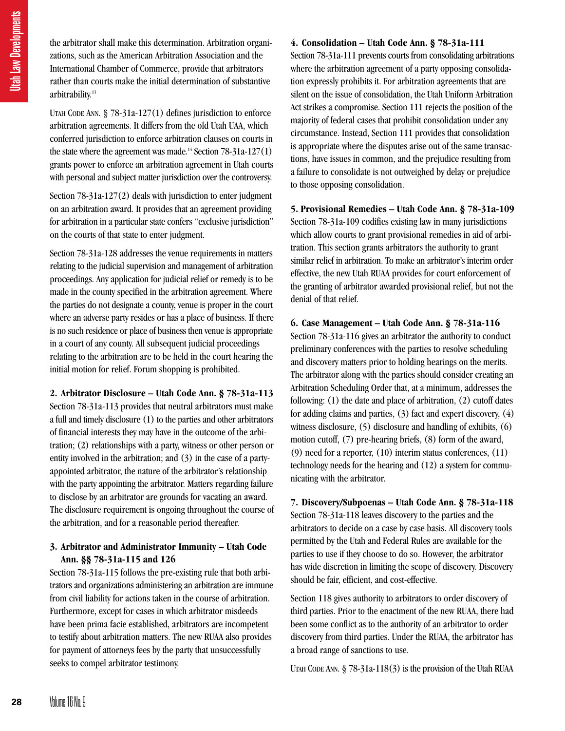the arbitrator shall make this determination. Arbitration organizations, such as the American Arbitration Association and the International Chamber of Commerce, provide that arbitrators rather than courts make the initial determination of substantive arbitrability.<sup>13</sup>

UTAH CODE ANN. § 78-31a-127(1) defines jurisdiction to enforce arbitration agreements. It differs from the old Utah UAA, which conferred jurisdiction to enforce arbitration clauses on courts in the state where the agreement was made.<sup>14</sup> Section 78-31a-127(1) grants power to enforce an arbitration agreement in Utah courts with personal and subject matter jurisdiction over the controversy.

Section 78-31a-127(2) deals with jurisdiction to enter judgment on an arbitration award. It provides that an agreement providing for arbitration in a particular state confers "exclusive jurisdiction" on the courts of that state to enter judgment.

Section 78-31a-128 addresses the venue requirements in matters relating to the judicial supervision and management of arbitration proceedings. Any application for judicial relief or remedy is to be made in the county specified in the arbitration agreement. Where the parties do not designate a county, venue is proper in the court where an adverse party resides or has a place of business. If there is no such residence or place of business then venue is appropriate in a court of any county. All subsequent judicial proceedings relating to the arbitration are to be held in the court hearing the initial motion for relief. Forum shopping is prohibited.

**2. Arbitrator Disclosure – Utah Code Ann. § 78-31a-113** Section 78-31a-113 provides that neutral arbitrators must make a full and timely disclosure (1) to the parties and other arbitrators of financial interests they may have in the outcome of the arbitration; (2) relationships with a party, witness or other person or entity involved in the arbitration; and (3) in the case of a partyappointed arbitrator, the nature of the arbitrator's relationship with the party appointing the arbitrator. Matters regarding failure to disclose by an arbitrator are grounds for vacating an award. The disclosure requirement is ongoing throughout the course of the arbitration, and for a reasonable period thereafter. **28** Volume 16 No. 9 28<br> **28** Volume 16 No. 9 28<br> **28** Volume 16 No. 9 28<br> **28** Volume 16 No. 9 29<br> **28** Volume 16 No. 9 29<br> **28** Volume 16 No. 9 29<br> **28** Volume 16 No. 9 29<br> **28** Volume 16 No. 9 29<br> **28** Volume 16 No. 9 2

## **3. Arbitrator and Administrator Immunity – Utah Code Ann. §§ 78-31a-115 and 126**

Section 78-31a-115 follows the pre-existing rule that both arbitrators and organizations administering an arbitration are immune from civil liability for actions taken in the course of arbitration. Furthermore, except for cases in which arbitrator misdeeds have been prima facie established, arbitrators are incompetent to testify about arbitration matters. The new RUAA also provides for payment of attorneys fees by the party that unsuccessfully seeks to compel arbitrator testimony.

# **4. Consolidation – Utah Code Ann. § 78-31a-111**

Section 78-31a-111 prevents courts from consolidating arbitrations where the arbitration agreement of a party opposing consolidation expressly prohibits it. For arbitration agreements that are silent on the issue of consolidation, the Utah Uniform Arbitration Act strikes a compromise. Section 111 rejects the position of the majority of federal cases that prohibit consolidation under any circumstance. Instead, Section 111 provides that consolidation is appropriate where the disputes arise out of the same transactions, have issues in common, and the prejudice resulting from a failure to consolidate is not outweighed by delay or prejudice to those opposing consolidation.

**5. Provisional Remedies – Utah Code Ann. § 78-31a-109** Section 78-31a-109 codifies existing law in many jurisdictions which allow courts to grant provisional remedies in aid of arbitration. This section grants arbitrators the authority to grant similar relief in arbitration. To make an arbitrator's interim order effective, the new Utah RUAA provides for court enforcement of the granting of arbitrator awarded provisional relief, but not the denial of that relief.

**6. Case Management – Utah Code Ann. § 78-31a-116** Section 78-31a-116 gives an arbitrator the authority to conduct preliminary conferences with the parties to resolve scheduling and discovery matters prior to holding hearings on the merits. The arbitrator along with the parties should consider creating an Arbitration Scheduling Order that, at a minimum, addresses the following: (1) the date and place of arbitration, (2) cutoff dates for adding claims and parties, (3) fact and expert discovery, (4) witness disclosure, (5) disclosure and handling of exhibits, (6) motion cutoff, (7) pre-hearing briefs, (8) form of the award, (9) need for a reporter, (10) interim status conferences, (11) technology needs for the hearing and (12) a system for communicating with the arbitrator.

**7. Discovery/Subpoenas – Utah Code Ann. § 78-31a-118** Section 78-31a-118 leaves discovery to the parties and the arbitrators to decide on a case by case basis. All discovery tools permitted by the Utah and Federal Rules are available for the parties to use if they choose to do so. However, the arbitrator has wide discretion in limiting the scope of discovery. Discovery should be fair, efficient, and cost-effective.

Section 118 gives authority to arbitrators to order discovery of third parties. Prior to the enactment of the new RUAA, there had been some conflict as to the authority of an arbitrator to order discovery from third parties. Under the RUAA, the arbitrator has a broad range of sanctions to use.

UTAH CODE ANN. § 78-31a-118(3) is the provision of the Utah RUAA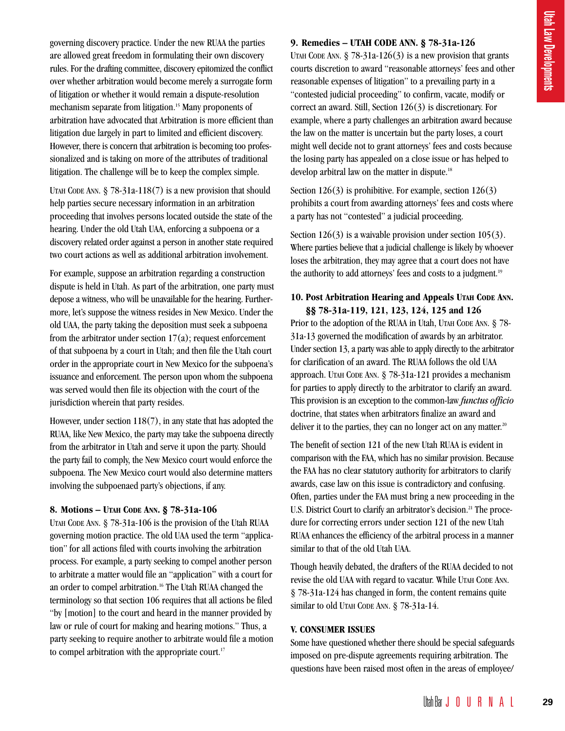governing discovery practice. Under the new RUAA the parties are allowed great freedom in formulating their own discovery rules. For the drafting committee, discovery epitomized the conflict over whether arbitration would become merely a surrogate form of litigation or whether it would remain a dispute-resolution mechanism separate from litigation.<sup>15</sup> Many proponents of arbitration have advocated that Arbitration is more efficient than litigation due largely in part to limited and efficient discovery. However, there is concern that arbitration is becoming too professionalized and is taking on more of the attributes of traditional litigation. The challenge will be to keep the complex simple.

UTAH CODE ANN. § 78-31a-118(7) is a new provision that should help parties secure necessary information in an arbitration proceeding that involves persons located outside the state of the hearing. Under the old Utah UAA, enforcing a subpoena or a discovery related order against a person in another state required two court actions as well as additional arbitration involvement.

For example, suppose an arbitration regarding a construction dispute is held in Utah. As part of the arbitration, one party must depose a witness, who will be unavailable for the hearing. Furthermore, let's suppose the witness resides in New Mexico. Under the old UAA, the party taking the deposition must seek a subpoena from the arbitrator under section  $17(a)$ ; request enforcement of that subpoena by a court in Utah; and then file the Utah court order in the appropriate court in New Mexico for the subpoena's issuance and enforcement. The person upon whom the subpoena was served would then file its objection with the court of the jurisdiction wherein that party resides.

However, under section 118(7), in any state that has adopted the RUAA, like New Mexico, the party may take the subpoena directly from the arbitrator in Utah and serve it upon the party. Should the party fail to comply, the New Mexico court would enforce the subpoena. The New Mexico court would also determine matters involving the subpoenaed party's objections, if any.

## **8. Motions – UTAH CODE ANN. § 78-31a-106**

UTAH CODE ANN. § 78-31a-106 is the provision of the Utah RUAA governing motion practice. The old UAA used the term "application" for all actions filed with courts involving the arbitration process. For example, a party seeking to compel another person to arbitrate a matter would file an "application" with a court for an order to compel arbitration.<sup>16</sup> The Utah RUAA changed the terminology so that section 106 requires that all actions be filed "by [motion] to the court and heard in the manner provided by law or rule of court for making and hearing motions." Thus, a party seeking to require another to arbitrate would file a motion to compel arbitration with the appropriate court.<sup>17</sup>

## **9. Remedies – UTAH CODE ANN. § 78-31a-126**

UTAH CODE ANN.  $\S$  78-31a-126(3) is a new provision that grants courts discretion to award "reasonable attorneys' fees and other reasonable expenses of litigation" to a prevailing party in a "contested judicial proceeding" to confirm, vacate, modify or correct an award. Still, Section 126(3) is discretionary. For example, where a party challenges an arbitration award because the law on the matter is uncertain but the party loses, a court might well decide not to grant attorneys' fees and costs because the losing party has appealed on a close issue or has helped to develop arbitral law on the matter in dispute.<sup>18</sup> **578-31a-126**<br>
new provision that grants<br>
eattorneys' fees and other<br>
prevailing party in a<br>
prime, vacate, modify or<br>
is discretionary. For<br>
whitration award because<br>
the party loses, a court<br>
rs' fees and costs because<br>

Section  $126(3)$  is prohibitive. For example, section  $126(3)$ prohibits a court from awarding attorneys' fees and costs where a party has not "contested" a judicial proceeding.

Section 126(3) is a waivable provision under section 105(3). Where parties believe that a judicial challenge is likely by whoever loses the arbitration, they may agree that a court does not have the authority to add attorneys' fees and costs to a judgment.<sup>19</sup>

## **10. Post Arbitration Hearing and Appeals UTAH CODE ANN. §§ 78-31a-119, 121, 123, 124, 125 and 126**

Prior to the adoption of the RUAA in Utah, UTAH CODE ANN. § 78-31a-13 governed the modification of awards by an arbitrator. Under section 13, a party was able to apply directly to the arbitrator for clarification of an award. The RUAA follows the old UAA approach. UTAH CODE ANN. § 78-31a-121 provides a mechanism for parties to apply directly to the arbitrator to clarify an award. This provision is an exception to the common-law *functus officio* doctrine, that states when arbitrators finalize an award and deliver it to the parties, they can no longer act on any matter.<sup>20</sup>

The benefit of section 121 of the new Utah RUAA is evident in comparison with the FAA, which has no similar provision. Because the FAA has no clear statutory authority for arbitrators to clarify awards, case law on this issue is contradictory and confusing. Often, parties under the FAA must bring a new proceeding in the U.S. District Court to clarify an arbitrator's decision.<sup>21</sup> The procedure for correcting errors under section 121 of the new Utah RUAA enhances the efficiency of the arbitral process in a manner similar to that of the old Utah UAA.

Though heavily debated, the drafters of the RUAA decided to not revise the old UAA with regard to vacatur. While UTAH CODE ANN. § 78-31a-124 has changed in form, the content remains quite similar to old UTAH CODE ANN. § 78-31a-14.

#### **V. CONSUMER ISSUES**

Some have questioned whether there should be special safeguards imposed on pre-dispute agreements requiring arbitration. The questions have been raised most often in the areas of employee/